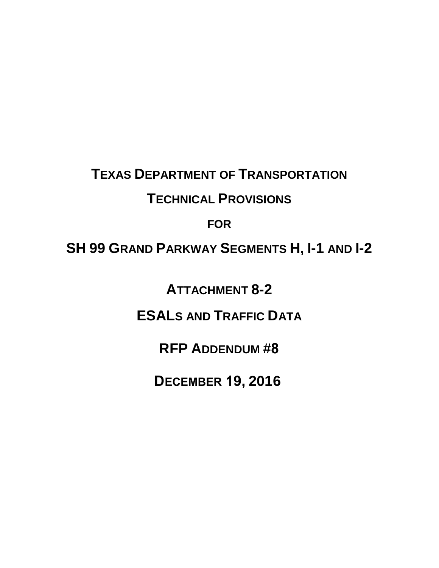# **TEXAS DEPARTMENT OF TRANSPORTATION**

## **TECHNICAL PROVISIONS**

## **FOR**

# **SH 99 GRAND PARKWAY SEGMENTS H, I-1 AND I-2**

**ATTACHMENT 8-2** 

**ESALS AND TRAFFIC DATA**

**RFP ADDENDUM #8**

**DECEMBER 19, 2016**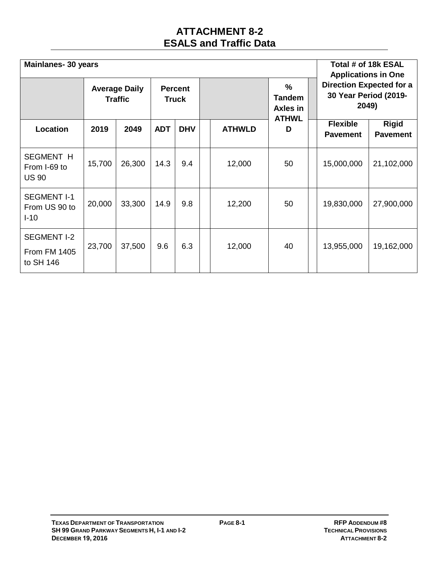#### **ATTACHMENT 8-2 ESALS and Traffic Data**

| <b>Mainlanes-30 years</b>                              |                                        |        |                                |            |  |               |                                                            |  | Total # of 18k ESAL<br><b>Applications in One</b>                 |                                 |
|--------------------------------------------------------|----------------------------------------|--------|--------------------------------|------------|--|---------------|------------------------------------------------------------|--|-------------------------------------------------------------------|---------------------------------|
|                                                        | <b>Average Daily</b><br><b>Traffic</b> |        | <b>Percent</b><br><b>Truck</b> |            |  |               | $\frac{0}{0}$<br><b>Tandem</b><br>Axles in<br><b>ATHWL</b> |  | <b>Direction Expected for a</b><br>30 Year Period (2019-<br>2049) |                                 |
| Location                                               | 2019                                   | 2049   | <b>ADT</b>                     | <b>DHV</b> |  | <b>ATHWLD</b> | D                                                          |  | <b>Flexible</b><br><b>Pavement</b>                                | <b>Rigid</b><br><b>Pavement</b> |
| <b>SEGMENT H</b><br>From I-69 to<br><b>US 90</b>       | 15,700                                 | 26,300 | 14.3                           | 9.4        |  | 12,000        | 50                                                         |  | 15,000,000                                                        | 21,102,000                      |
| <b>SEGMENT I-1</b><br>From US 90 to<br>$I-10$          | 20,000                                 | 33,300 | 14.9                           | 9.8        |  | 12,200        | 50                                                         |  | 19,830,000                                                        | 27,900,000                      |
| <b>SEGMENT I-2</b><br><b>From FM 1405</b><br>to SH 146 | 23,700                                 | 37,500 | 9.6                            | 6.3        |  | 12,000        | 40                                                         |  | 13,955,000                                                        | 19,162,000                      |